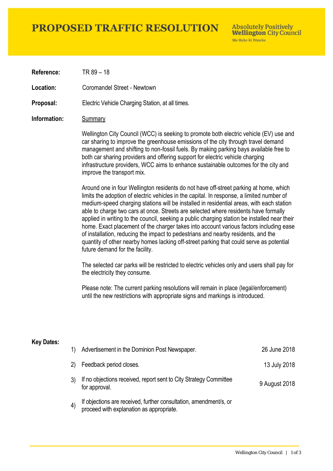## **PROPOSED TRAFFIC RESOLUTION**

**Absolutely Positively Wellington City Council** Me Heke Ki Pôneke

**Reference:** TR 89 – 18

**Location:** Coromandel Street - Newtown

**Proposal:** Electric Vehicle Charging Station, at all times.

#### **Information:** Summary

Wellington City Council (WCC) is seeking to promote both electric vehicle (EV) use and car sharing to improve the greenhouse emissions of the city through travel demand management and shifting to non-fossil fuels. By making parking bays available free to both car sharing providers and offering support for electric vehicle charging infrastructure providers, WCC aims to enhance sustainable outcomes for the city and improve the transport mix.

Around one in four Wellington residents do not have off-street parking at home, which limits the adoption of electric vehicles in the capital. In response, a limited number of medium-speed charging stations will be installed in residential areas, with each station able to charge two cars at once. Streets are selected where residents have formally applied in writing to the council, seeking a public charging station be installed near their home. Exact placement of the charger takes into account various factors including ease of installation, reducing the impact to pedestrians and nearby residents, and the quantity of other nearby homes lacking off-street parking that could serve as potential future demand for the facility.

The selected car parks will be restricted to electric vehicles only and users shall pay for the electricity they consume.

Please note: The current parking resolutions will remain in place (legal/enforcement) until the new restrictions with appropriate signs and markings is introduced.

#### **Key Dates:**

| 1)                | Advertisement in the Dominion Post Newspaper.                                                                 | 26 June 2018  |
|-------------------|---------------------------------------------------------------------------------------------------------------|---------------|
| (2)               | Feedback period closes.                                                                                       | 13 July 2018  |
|                   | If no objections received, report sent to City Strategy Committee<br>for approval.                            | 9 August 2018 |
| $\left( 4\right)$ | If objections are received, further consultation, amendment/s, or<br>proceed with explanation as appropriate. |               |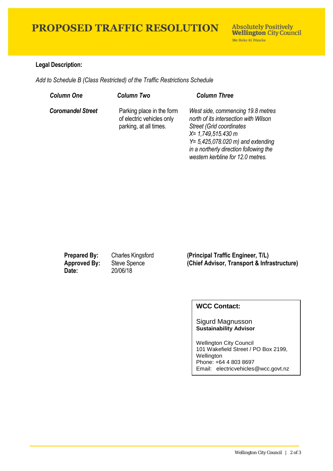# **PROPOSED TRAFFIC RESOLUTION**

### **Legal Description:**

*Add to Schedule B (Class Restricted) of the Traffic Restrictions Schedule* 

| <b>Column One</b>        | <b>Column Two</b>                                                                | <b>Column Three</b>                                                                                                                                                                                                                                            |
|--------------------------|----------------------------------------------------------------------------------|----------------------------------------------------------------------------------------------------------------------------------------------------------------------------------------------------------------------------------------------------------------|
| <b>Coromandel Street</b> | Parking place in the form<br>of electric vehicles only<br>parking, at all times. | West side, commencing 19.8 metres<br>north of its intersection with Wilson<br><b>Street (Grid coordinates)</b><br>$X = 1,749,515.430 m$<br>$Y = 5,425,078.020$ m) and extending<br>in a northerly direction following the<br>western kerbline for 12.0 metres. |

**Date:** 20/06/18

**Prepared By:** Charles Kingsford **(Principal Traffic Engineer, T/L) Approved By:** Steve Spence **(Chief Advisor, Transport & Infrastructure)**

## **WCC Contact:**

#### Sigurd Magnusson **Sustainability Advisor**

Wellington City Council 101 Wakefield Street / PO Box 2199, Wellington Phone: +64 4 803 8697 Email: electricvehicles@wcc.govt.nz